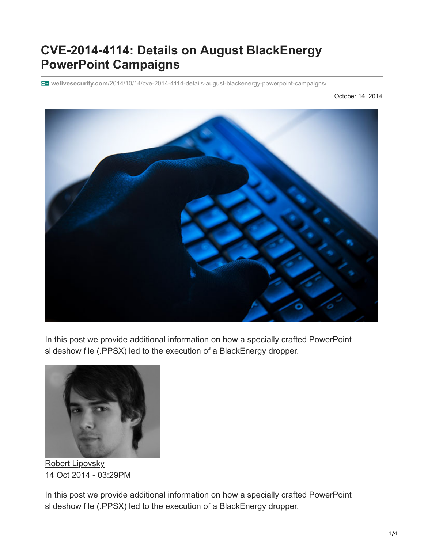## **CVE**‑**2014**‑**4114: Details on August BlackEnergy PowerPoint Campaigns**

**welivesecurity.com**[/2014/10/14/cve-2014-4114-details-august-blackenergy-powerpoint-campaigns/](https://www.welivesecurity.com/2014/10/14/cve-2014-4114-details-august-blackenergy-powerpoint-campaigns/)

October 14, 2014



In this post we provide additional information on how a specially crafted PowerPoint slideshow file (.PPSX) led to the execution of a BlackEnergy dropper.



[Robert Lipovsky](https://www.welivesecurity.com/author/lipovsky/) 14 Oct 2014 - 03:29PM

In this post we provide additional information on how a specially crafted PowerPoint slideshow file (.PPSX) led to the execution of a BlackEnergy dropper.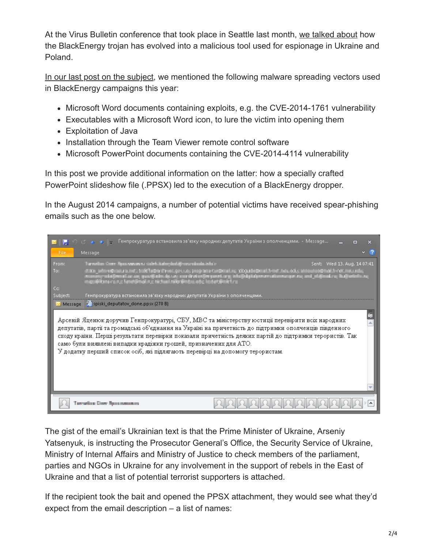At the Virus Bulletin conference that took place in Seattle last month, [we talked about](https://www.virusbtn.com/conference/vb2014/abstracts/LM3-LipovskyCherepanov.xml) how the BlackEnergy trojan has evolved into a malicious tool used for espionage in Ukraine and Poland.

[In our last post on the subject,](https://www.welivesecurity.com/2014/09/22/back-in-blackenergy-2014/) we mentioned the following malware spreading vectors used in BlackEnergy campaigns this year:

- Microsoft Word documents containing exploits, e.g. the CVE-2014-1761 vulnerability
- Executables with a Microsoft Word icon, to lure the victim into opening them
- Exploitation of Java
- Installation through the Team Viewer remote control software
- Microsoft PowerPoint documents containing the CVE-2014-4114 vulnerability

In this post we provide additional information on the latter: how a specially crafted PowerPoint slideshow file (.PPSX) led to the execution of a BlackEnergy dropper.

In the August 2014 campaigns, a number of potential victims have received spear-phishing emails such as the one below.



The gist of the email's Ukrainian text is that the Prime Minister of Ukraine, Arseniy Yatsenyuk, is instructing the Prosecutor General's Office, the Security Service of Ukraine, Ministry of Internal Affairs and Ministry of Justice to check members of the parliament, parties and NGOs in Ukraine for any involvement in the support of rebels in the East of Ukraine and that a list of potential terrorist supporters is attached.

If the recipient took the bait and opened the PPSX attachment, they would see what they'd expect from the email description – a list of names: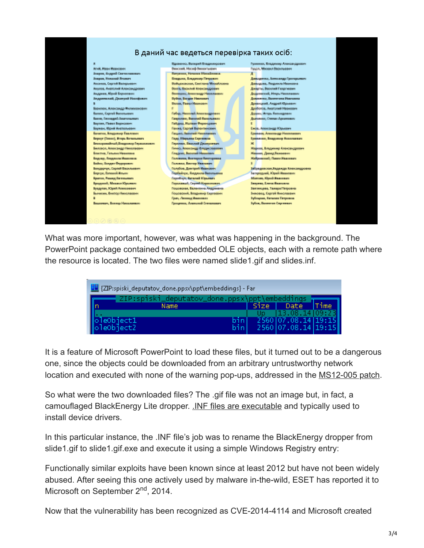

What was more important, however, was what was happening in the background. The PowerPoint package contained two embedded OLE objects, each with a remote path where the resource is located. The two files were named slide1.gif and slides.inf.

| E {ZIP:spiski_deputatov_done.ppsx\ppt\embeddings} - Far |                                               |      |      |                     |      |
|---------------------------------------------------------|-----------------------------------------------|------|------|---------------------|------|
|                                                         | ZIP:spiski_deputatov_done.ppsx\ppt\embeddings |      |      |                     |      |
|                                                         | Name                                          |      | Size | Date                | Time |
|                                                         |                                               |      |      | 13.08.14109:2       |      |
|                                                         |                                               | binl |      | 2560 07.08.14 19:15 |      |
|                                                         | OleObject1                                    | binl |      | 2560 07.08.14 19:15 |      |

It is a feature of Microsoft PowerPoint to load these files, but it turned out to be a dangerous one, since the objects could be downloaded from an arbitrary untrustworthy network location and executed with none of the warning pop-ups, addressed in the [MS12-005 patch.](http://support.microsoft.com/kb/2584146)

So what were the two downloaded files? The .gif file was not an image but, in fact, a camouflaged BlackEnergy Lite dropper. [.INF files are executable](https://en.wikipedia.org/wiki/INF_file) and typically used to install device drivers.

In this particular instance, the .INF file's job was to rename the BlackEnergy dropper from slide1.gif to slide1.gif.exe and execute it using a simple Windows Registry entry:

Functionally similar exploits have been known since at least 2012 but have not been widely abused. After seeing this one actively used by malware in-the-wild, ESET has reported it to Microsoft on September 2<sup>nd</sup>, 2014.

Now that the vulnerability has been recognized as CVE-2014-4114 and Microsoft created